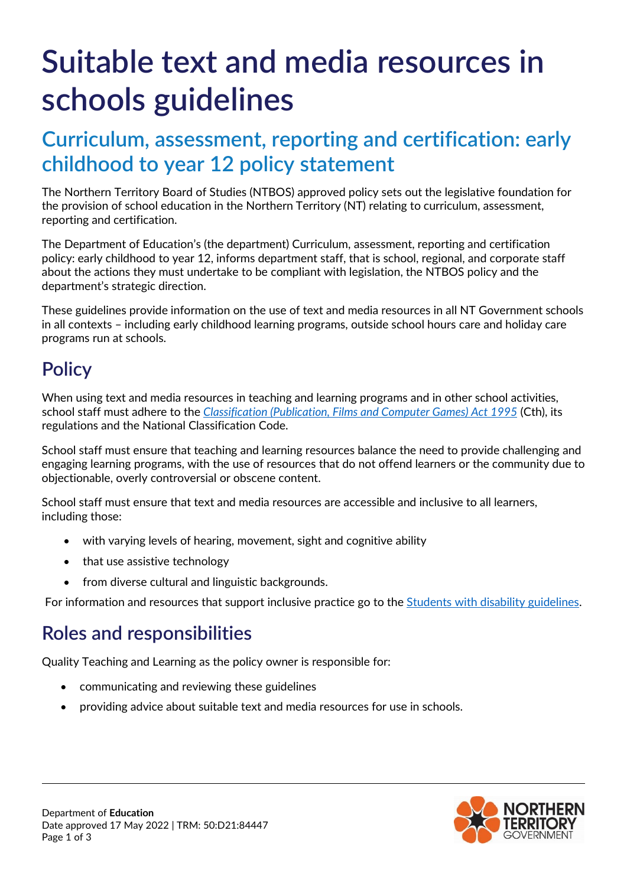# **Suitable text and media resources in schools guidelines**

# **Curriculum, assessment, reporting and certification: early childhood to year 12 policy statement**

The Northern Territory Board of Studies (NTBOS) approved policy sets out the legislative foundation for the provision of school education in the Northern Territory (NT) relating to curriculum, assessment, reporting and certification.

The Department of Education's (the department) Curriculum, assessment, reporting and certification policy: early childhood to year 12, informs department staff, that is school, regional, and corporate staff about the actions they must undertake to be compliant with legislation, the NTBOS policy and the department's strategic direction.

These guidelines provide information on the use of text and media resources in all NT Government schools in all contexts – including early childhood learning programs, outside school hours care and holiday care programs run at schools.

## **Policy**

When using text and media resources in teaching and learning programs and in other school activities, school staff must adhere to the *[Classification \(Publication, Films and Computer Games\) Act 1995](https://www.legislation.gov.au/Details/C2017C00267)* (Cth), its regulations and the National Classification Code.

School staff must ensure that teaching and learning resources balance the need to provide challenging and engaging learning programs, with the use of resources that do not offend learners or the community due to objectionable, overly controversial or obscene content.

School staff must ensure that text and media resources are accessible and inclusive to all learners, including those:

- with varying levels of hearing, movement, sight and cognitive ability
- that use assistive technology
- from diverse cultural and linguistic backgrounds.

For information and resources that support inclusive practice go to the [Students with disability guidelines.](https://education.nt.gov.au/policies/students-with-disability)

## **Roles and responsibilities**

Quality Teaching and Learning as the policy owner is responsible for:

- communicating and reviewing these guidelines
- providing advice about suitable text and media resources for use in schools.

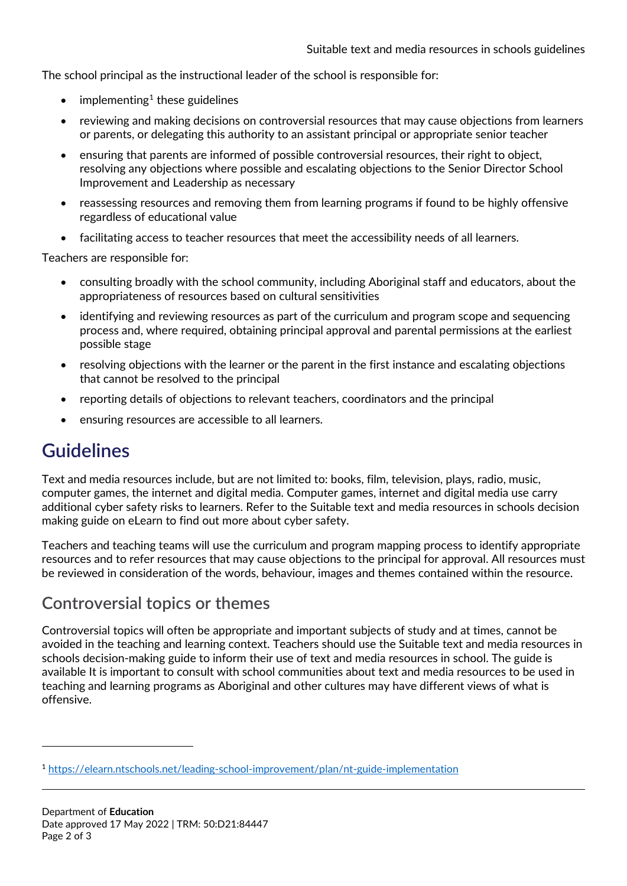The school principal as the instructional leader of the school is responsible for:

- $\bullet$  implementing<sup>[1](#page-1-0)</sup> these guidelines
- reviewing and making decisions on controversial resources that may cause objections from learners or parents, or delegating this authority to an assistant principal or appropriate senior teacher
- ensuring that parents are informed of possible controversial resources, their right to object, resolving any objections where possible and escalating objections to the Senior Director School Improvement and Leadership as necessary
- reassessing resources and removing them from learning programs if found to be highly offensive regardless of educational value
- facilitating access to teacher resources that meet the accessibility needs of all learners.

Teachers are responsible for:

- consulting broadly with the school community, including Aboriginal staff and educators, about the appropriateness of resources based on cultural sensitivities
- identifying and reviewing resources as part of the curriculum and program scope and sequencing process and, where required, obtaining principal approval and parental permissions at the earliest possible stage
- resolving objections with the learner or the parent in the first instance and escalating objections that cannot be resolved to the principal
- reporting details of objections to relevant teachers, coordinators and the principal
- ensuring resources are accessible to all learners.

### **Guidelines**

<u>.</u>

Text and media resources include, but are not limited to: books, film, television, plays, radio, music, computer games, the internet and digital media. Computer games, internet and digital media use carry additional cyber safety risks to learners. Refer to the Suitable text and media resources in schools decision making guide on eLearn to find out more about cyber safety.

Teachers and teaching teams will use the curriculum and program mapping process to identify appropriate resources and to refer resources that may cause objections to the principal for approval. All resources must be reviewed in consideration of the words, behaviour, images and themes contained within the resource.

#### **Controversial topics or themes**

Controversial topics will often be appropriate and important subjects of study and at times, cannot be avoided in the teaching and learning context. Teachers should use the Suitable text and media resources in schools decision-making guide to inform their use of text and media resources in school. The guide is available It is important to consult with school communities about text and media resources to be used in teaching and learning programs as Aboriginal and other cultures may have different views of what is offensive.

<span id="page-1-0"></span><sup>1</sup> <https://elearn.ntschools.net/leading-school-improvement/plan/nt-guide-implementation>